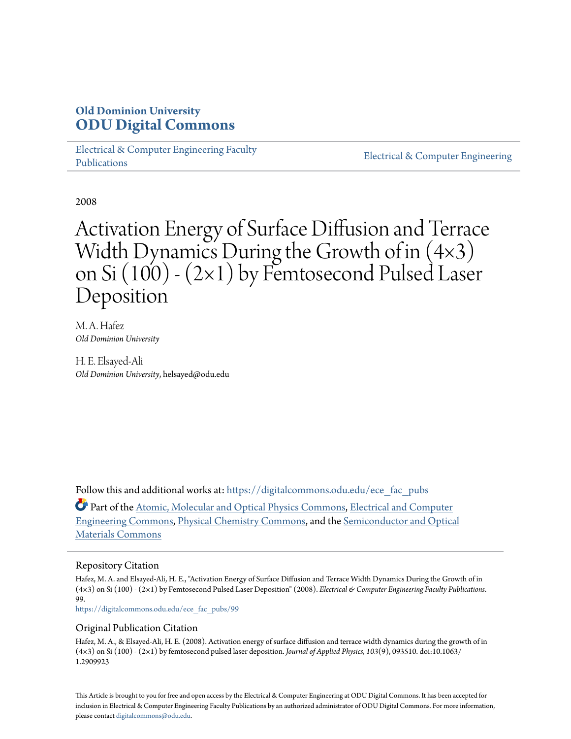# **Old Dominion University [ODU Digital Commons](https://digitalcommons.odu.edu?utm_source=digitalcommons.odu.edu%2Fece_fac_pubs%2F99&utm_medium=PDF&utm_campaign=PDFCoverPages)**

[Electrical & Computer Engineering Faculty](https://digitalcommons.odu.edu/ece_fac_pubs?utm_source=digitalcommons.odu.edu%2Fece_fac_pubs%2F99&utm_medium=PDF&utm_campaign=PDFCoverPages) [Publications](https://digitalcommons.odu.edu/ece_fac_pubs?utm_source=digitalcommons.odu.edu%2Fece_fac_pubs%2F99&utm_medium=PDF&utm_campaign=PDFCoverPages)

[Electrical & Computer Engineering](https://digitalcommons.odu.edu/ece?utm_source=digitalcommons.odu.edu%2Fece_fac_pubs%2F99&utm_medium=PDF&utm_campaign=PDFCoverPages)

2008

# Activation Energy of Surface Diffusion and Terrace Width Dynamics During the Growth of in (4×3) on Si (100) - (2×1) by Femtosecond Pulsed Laser Deposition

M. A. Hafez *Old Dominion University*

H. E. Elsayed-Ali *Old Dominion University*, helsayed@odu.edu

Follow this and additional works at: [https://digitalcommons.odu.edu/ece\\_fac\\_pubs](https://digitalcommons.odu.edu/ece_fac_pubs?utm_source=digitalcommons.odu.edu%2Fece_fac_pubs%2F99&utm_medium=PDF&utm_campaign=PDFCoverPages)

Part of the [Atomic, Molecular and Optical Physics Commons,](http://network.bepress.com/hgg/discipline/195?utm_source=digitalcommons.odu.edu%2Fece_fac_pubs%2F99&utm_medium=PDF&utm_campaign=PDFCoverPages) [Electrical and Computer](http://network.bepress.com/hgg/discipline/266?utm_source=digitalcommons.odu.edu%2Fece_fac_pubs%2F99&utm_medium=PDF&utm_campaign=PDFCoverPages) [Engineering Commons,](http://network.bepress.com/hgg/discipline/266?utm_source=digitalcommons.odu.edu%2Fece_fac_pubs%2F99&utm_medium=PDF&utm_campaign=PDFCoverPages) [Physical Chemistry Commons,](http://network.bepress.com/hgg/discipline/139?utm_source=digitalcommons.odu.edu%2Fece_fac_pubs%2F99&utm_medium=PDF&utm_campaign=PDFCoverPages) and the [Semiconductor and Optical](http://network.bepress.com/hgg/discipline/290?utm_source=digitalcommons.odu.edu%2Fece_fac_pubs%2F99&utm_medium=PDF&utm_campaign=PDFCoverPages) [Materials Commons](http://network.bepress.com/hgg/discipline/290?utm_source=digitalcommons.odu.edu%2Fece_fac_pubs%2F99&utm_medium=PDF&utm_campaign=PDFCoverPages)

## Repository Citation

Hafez, M. A. and Elsayed-Ali, H. E., "Activation Energy of Surface Diffusion and Terrace Width Dynamics During the Growth of in (4×3) on Si (100) - (2×1) by Femtosecond Pulsed Laser Deposition" (2008). *Electrical & Computer Engineering Faculty Publications*. 99.

[https://digitalcommons.odu.edu/ece\\_fac\\_pubs/99](https://digitalcommons.odu.edu/ece_fac_pubs/99?utm_source=digitalcommons.odu.edu%2Fece_fac_pubs%2F99&utm_medium=PDF&utm_campaign=PDFCoverPages)

### Original Publication Citation

Hafez, M. A., & Elsayed-Ali, H. E. (2008). Activation energy of surface diffusion and terrace width dynamics during the growth of in (4×3) on Si (100) - (2×1) by femtosecond pulsed laser deposition. *Journal of Applied Physics, 103*(9), 093510. doi:10.1063/ 1.2909923

This Article is brought to you for free and open access by the Electrical & Computer Engineering at ODU Digital Commons. It has been accepted for inclusion in Electrical & Computer Engineering Faculty Publications by an authorized administrator of ODU Digital Commons. For more information, please contact [digitalcommons@odu.edu](mailto:digitalcommons@odu.edu).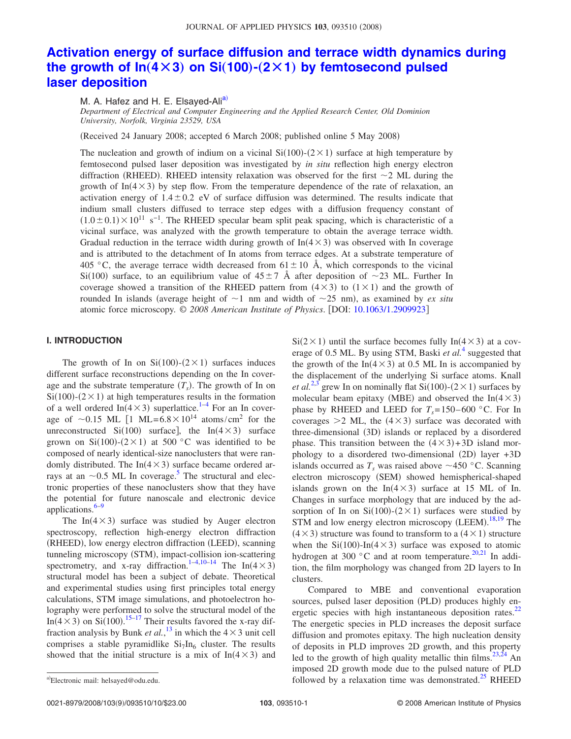# **[Activation energy of surface diffusion and terrace width dynamics during](http://dx.doi.org/10.1063/1.2909923) the growth of**  $\ln(4 \times 3)$  **on Si(100)–(2×1) [by femtosecond pulsed](http://dx.doi.org/10.1063/1.2909923) [laser deposition](http://dx.doi.org/10.1063/1.2909923)**

M. A. Hafez and H. E. Elsayed-Ali<sup>a)</sup>

*Department of Electrical and Computer Engineering and the Applied Research Center, Old Dominion University, Norfolk, Virginia 23529, USA*

(Received 24 January 2008; accepted 6 March 2008; published online 5 May 2008)

The nucleation and growth of indium on a vicinal  $Si(100)$ - $(2 \times 1)$  surface at high temperature by femtosecond pulsed laser deposition was investigated by *in situ* reflection high energy electron diffraction (RHEED). RHEED intensity relaxation was observed for the first  $\sim$ 2 ML during the growth of  $In(4\times3)$  by step flow. From the temperature dependence of the rate of relaxation, an activation energy of  $1.4 \pm 0.2$  eV of surface diffusion was determined. The results indicate that indium small clusters diffused to terrace step edges with a diffusion frequency constant of  $(1.0 \pm 0.1) \times 10^{11}$  s<sup>-1</sup>. The RHEED specular beam split peak spacing, which is characteristic of a vicinal surface, was analyzed with the growth temperature to obtain the average terrace width. Gradual reduction in the terrace width during growth of  $In(4 \times 3)$  was observed with In coverage and is attributed to the detachment of In atoms from terrace edges. At a substrate temperature of 405 °C, the average terrace width decreased from  $61 \pm 10$  Å, which corresponds to the vicinal Si(100) surface, to an equilibrium value of  $45 \pm 7$  Å after deposition of  $\sim$ 23 ML. Further In coverage showed a transition of the RHEED pattern from  $(4 \times 3)$  to  $(1 \times 1)$  and the growth of rounded In islands (average height of  $\sim$ 1 nm and width of  $\sim$ 25 nm), as examined by *ex situ* atomic force microscopy. © *2008 American Institute of Physics*. DOI: [10.1063/1.2909923](http://dx.doi.org/10.1063/1.2909923)

#### **I. INTRODUCTION**

The growth of In on  $Si(100)-(2\times1)$  surfaces induces different surface reconstructions depending on the In coverage and the substrate temperature  $(T<sub>s</sub>)$ . The growth of In on  $Si(100)$ - $(2 \times 1)$  at high temperatures results in the formation of a well ordered  $In(4\times3)$  $In(4\times3)$  $In(4\times3)$  superlattice.<sup>1–4</sup> For an In coverage of  $\sim$  0.15 ML [1 ML= 6.8  $\times$  10<sup>14</sup> atoms/cm<sup>2</sup> for the unreconstructed Si(100) surface], the In( $4 \times 3$ ) surface grown on Si(100)-(2×1) at 500 °C was identified to be composed of nearly identical-size nanoclusters that were randomly distributed. The  $In(4 \times 3)$  surface became ordered arrays at an  $\sim 0.5$  $\sim 0.5$  ML In coverage.<sup>5</sup> The structural and electronic properties of these nanoclusters show that they have the potential for future nanoscale and electronic device applications. $6-9$ 

The In( $4 \times 3$ ) surface was studied by Auger electron spectroscopy, reflection high-energy electron diffraction (RHEED), low energy electron diffraction (LEED), scanning tunneling microscopy (STM), impact-collision ion-scattering spectrometry, and x-ray diffraction.<sup>1–[4,](#page-9-1)[10–](#page-9-4)[14](#page-9-5)</sup> The In(4  $\times$ 3) structural model has been a subject of debate. Theoretical and experimental studies using first principles total energy calculations, STM image simulations, and photoelectron holography were performed to solve the structural model of the In( $4 \times 3$ ) on Si(100).<sup>[15](#page-9-6)[–17](#page-9-7)</sup> Their results favored the x-ray diffraction analysis by Bunk *et al.*,<sup>[13](#page-9-8)</sup> in which the  $4 \times 3$  unit cell comprises a stable pyramidlike  $Si<sub>7</sub>In<sub>6</sub> cluster$ . The results showed that the initial structure is a mix of  $In(4\times3)$  and

 $Si(2\times1)$  until the surface becomes fully In(4 × 3) at a coverage of 0.5 ML. By using STM, Baski *et al.*[4](#page-9-1) suggested that the growth of the  $In(4 \times 3)$  at 0.5 ML In is accompanied by the displacement of the underlying Si surface atoms. Knall *et al.*<sup>[2,](#page-9-9)[3](#page-9-10)</sup> grew In on nominally flat Si(100)-(2  $\times$  1) surfaces by molecular beam epitaxy (MBE) and observed the  $In(4 \times 3)$ phase by RHEED and LEED for  $T_s = 150-600$  °C. For In coverages  $>2$  ML, the  $(4 \times 3)$  surface was decorated with three-dimensional (3D) islands or replaced by a disordered phase. This transition between the  $(4 \times 3) + 3D$  island morphology to a disordered two-dimensional (2D) layer +3D islands occurred as  $T_s$  was raised above  $\sim$ 450 °C. Scanning electron microscopy (SEM) showed hemispherical-shaped islands grown on the  $In(4\times3)$  surface at 15 ML of In. Changes in surface morphology that are induced by the adsorption of In on  $Si(100)$ - $(2 \times 1)$  surfaces were studied by STM and low energy electron microscopy (LEEM).<sup>[18](#page-9-11)[,19](#page-9-12)</sup> The  $(4 \times 3)$  structure was found to transform to a  $(4 \times 1)$  structure when the  $Si(100)$ -In( $4 \times 3$ ) surface was exposed to atomic hydrogen at 300 °C and at room temperature.<sup>20[,21](#page-9-14)</sup> In addition, the film morphology was changed from 2D layers to In clusters.

Compared to MBE and conventional evaporation sources, pulsed laser deposition (PLD) produces highly energetic species with high instantaneous deposition rates.<sup>22</sup> The energetic species in PLD increases the deposit surface diffusion and promotes epitaxy. The high nucleation density of deposits in PLD improves 2D growth, and this property led to the growth of high quality metallic thin films.<sup>23[,24](#page-9-17)</sup> An imposed 2D growth mode due to the pulsed nature of PLD followed by a relaxation time was demonstrated.<sup>25</sup> RHEED

0021-8979/2008/103(9)/093510/10/\$23.00

<span id="page-1-0"></span>Electronic mail: helsayed@odu.edu.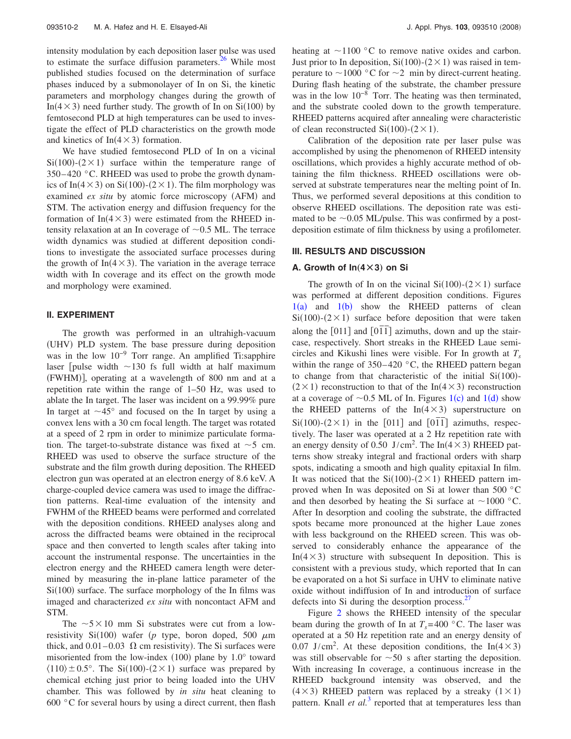intensity modulation by each deposition laser pulse was used to estimate the surface diffusion parameters. $26$  While most published studies focused on the determination of surface phases induced by a submonolayer of In on Si, the kinetic parameters and morphology changes during the growth of In( $4 \times 3$ ) need further study. The growth of In on Si(100) by femtosecond PLD at high temperatures can be used to investigate the effect of PLD characteristics on the growth mode and kinetics of  $In(4 \times 3)$  formation.

We have studied femtosecond PLD of In on a vicinal  $Si(100)$ - $(2 \times 1)$  surface within the temperature range of  $350-420$  °C. RHEED was used to probe the growth dynamics of In( $4 \times 3$ ) on Si(100)-( $2 \times 1$ ). The film morphology was examined ex situ by atomic force microscopy (AFM) and STM. The activation energy and diffusion frequency for the formation of  $In(4 \times 3)$  were estimated from the RHEED intensity relaxation at an In coverage of  $\sim 0.5$  ML. The terrace width dynamics was studied at different deposition conditions to investigate the associated surface processes during the growth of  $In(4 \times 3)$ . The variation in the average terrace width with In coverage and its effect on the growth mode and morphology were examined.

#### **II. EXPERIMENT**

The growth was performed in an ultrahigh-vacuum (UHV) PLD system. The base pressure during deposition was in the low  $10^{-9}$  Torr range. An amplified Ti:sapphire laser [pulse width  $\sim$ 130 fs full width at half maximum (FWHM)], operating at a wavelength of 800 nm and at a repetition rate within the range of 1–50 Hz, was used to ablate the In target. The laser was incident on a 99.99% pure In target at  $\sim$ 45 $\degree$  and focused on the In target by using a convex lens with a 30 cm focal length. The target was rotated at a speed of 2 rpm in order to minimize particulate formation. The target-to-substrate distance was fixed at  $\sim$  5 cm. RHEED was used to observe the surface structure of the substrate and the film growth during deposition. The RHEED electron gun was operated at an electron energy of 8.6 keV. A charge-coupled device camera was used to image the diffraction patterns. Real-time evaluation of the intensity and FWHM of the RHEED beams were performed and correlated with the deposition conditions. RHEED analyses along and across the diffracted beams were obtained in the reciprocal space and then converted to length scales after taking into account the instrumental response. The uncertainties in the electron energy and the RHEED camera length were determined by measuring the in-plane lattice parameter of the Si(100) surface. The surface morphology of the In films was imaged and characterized *ex situ* with noncontact AFM and STM.

The  $5 \times 10$  mm Si substrates were cut from a lowresistivity Si(100) wafer ( $p$  type, boron doped, 500  $\mu$ m thick, and  $0.01-0.03$   $\Omega$  cm resistivity). The Si surfaces were misoriented from the low-index  $(100)$  plane by  $1.0^{\circ}$  toward  $\langle 110 \rangle \pm 0.5^{\circ}$ . The Si(100)-(2 × 1) surface was prepared by chemical etching just prior to being loaded into the UHV chamber. This was followed by *in situ* heat cleaning to 600  $\degree$ C for several hours by using a direct current, then flash heating at  $\sim$ 1100 °C to remove native oxides and carbon. Just prior to In deposition,  $Si(100)$ - $(2 \times 1)$  was raised in temperature to  $\sim$  1000 °C for  $\sim$  2 min by direct-current heating. During flash heating of the substrate, the chamber pressure was in the low  $10^{-8}$  Torr. The heating was then terminated, and the substrate cooled down to the growth temperature. RHEED patterns acquired after annealing were characteristic of clean reconstructed  $Si(100)$ - $(2 \times 1)$ .

Calibration of the deposition rate per laser pulse was accomplished by using the phenomenon of RHEED intensity oscillations, which provides a highly accurate method of obtaining the film thickness. RHEED oscillations were observed at substrate temperatures near the melting point of In. Thus, we performed several depositions at this condition to observe RHEED oscillations. The deposition rate was estimated to be  $\sim 0.05$  ML/pulse. This was confirmed by a postdeposition estimate of film thickness by using a profilometer.

#### **III. RESULTS AND DISCUSSION**

#### **A. Growth of**  $ln(4 \times 3)$  **on Si**

The growth of In on the vicinal  $Si(100)-(2\times1)$  surface was performed at different deposition conditions. Figures  $1(a)$  $1(a)$  and  $1(b)$  show the RHEED patterns of clean  $Si(100)$ - $(2 \times 1)$  surface before deposition that were taken along the  $[011]$  and  $[01\overline{1}]$  azimuths, down and up the staircase, respectively. Short streaks in the RHEED Laue semicircles and Kikushi lines were visible. For In growth at  $T_s$ within the range of  $350-420$  °C, the RHEED pattern began to change from that characteristic of the initial  $Si(100)$ - $(2 \times 1)$  reconstruction to that of the In(4 × 3) reconstruction at a coverage of  $\sim 0.5$  ML of In. Figures [1](#page-3-0)(c) and 1(d) show the RHEED patterns of the  $In(4 \times 3)$  superstructure on  $Si(100)-(2\times1)$  in the [011] and [01<sup> $\overline{1}$ </sup>] azimuths, respectively. The laser was operated at a 2 Hz repetition rate with an energy density of 0.50 J/cm<sup>2</sup>. The In( $4 \times 3$ ) RHEED patterns show streaky integral and fractional orders with sharp spots, indicating a smooth and high quality epitaxial In film. It was noticed that the  $Si(100)-(2\times1)$  RHEED pattern improved when In was deposited on Si at lower than 500 °C and then desorbed by heating the Si surface at  $\sim$ 1000 °C. After In desorption and cooling the substrate, the diffracted spots became more pronounced at the higher Laue zones with less background on the RHEED screen. This was observed to considerably enhance the appearance of the In( $4 \times 3$ ) structure with subsequent In deposition. This is consistent with a previous study, which reported that In can be evaporated on a hot Si surface in UHV to eliminate native oxide without indiffusion of In and introduction of surface defects into Si during the desorption process. $27$ 

Figure [2](#page-3-1) shows the RHEED intensity of the specular beam during the growth of In at  $T_s = 400$  °C. The laser was operated at a 50 Hz repetition rate and an energy density of 0.07 J/cm<sup>2</sup>. At these deposition conditions, the In( $4 \times 3$ ) was still observable for  $\sim$  50 s after starting the deposition. With increasing In coverage, a continuous increase in the RHEED background intensity was observed, and the  $(4 \times 3)$  RHEED pattern was replaced by a streaky  $(1 \times 1)$ pattern. Knall *et al.*<sup>[3](#page-9-10)</sup> reported that at temperatures less than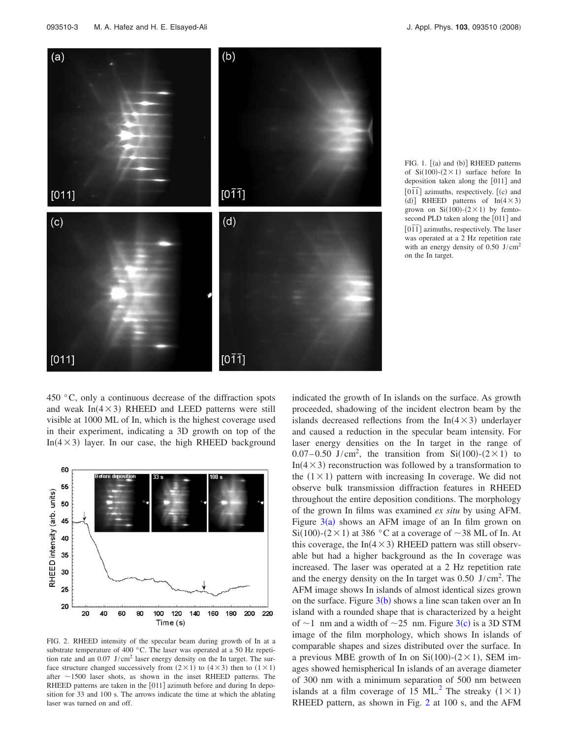<span id="page-3-0"></span>

FIG. 1. [(a) and (b)] RHEED patterns of  $Si(100)-(2\times1)$  surface before In deposition taken along the [011] and  $\overline{[011]}$  azimuths, respectively.  $[(c)$  and (d)] RHEED patterns of  $In(4\times3)$ grown on  $Si(100)-(2\times1)$  by femtosecond PLD taken along the [011] and 01*¯*<sup>1</sup> *¯* azimuths, respectively. The laser was operated at a 2 Hz repetition rate with an energy density of  $0.50$  J/cm<sup>2</sup> on the In target.

450 °C, only a continuous decrease of the diffraction spots and weak  $In(4 \times 3)$  RHEED and LEED patterns were still visible at 1000 ML of In, which is the highest coverage used in their experiment, indicating a 3D growth on top of the In( $4 \times 3$ ) layer. In our case, the high RHEED background

<span id="page-3-1"></span>

FIG. 2. RHEED intensity of the specular beam during growth of In at a substrate temperature of 400 °C. The laser was operated at a 50 Hz repetition rate and an  $0.07$  J/cm<sup>2</sup> laser energy density on the In target. The surface structure changed successively from  $(2 \times 1)$  to  $(4 \times 3)$  then to  $(1 \times 1)$ after  $\sim$  1500 laser shots, as shown in the inset RHEED patterns. The RHEED patterns are taken in the [011] azimuth before and during In deposition for 33 and 100 s. The arrows indicate the time at which the ablating laser was turned on and off.

indicated the growth of In islands on the surface. As growth proceeded, shadowing of the incident electron beam by the islands decreased reflections from the  $In(4 \times 3)$  underlayer and caused a reduction in the specular beam intensity. For laser energy densities on the In target in the range of 0.07–0.50 J/cm<sup>2</sup>, the transition from Si $(100)-(2\times1)$  to In( $4 \times 3$ ) reconstruction was followed by a transformation to the  $(1 \times 1)$  pattern with increasing In coverage. We did not observe bulk transmission diffraction features in RHEED throughout the entire deposition conditions. The morphology of the grown In films was examined *ex situ* by using AFM. Figure  $3(a)$  $3(a)$  shows an AFM image of an In film grown on Si(100)-(2 × 1) at 386 °C at a coverage of  $\sim$ 38 ML of In. At this coverage, the  $In(4 \times 3)$  RHEED pattern was still observable but had a higher background as the In coverage was increased. The laser was operated at a 2 Hz repetition rate and the energy density on the In target was  $0.50 \text{ J/cm}^2$ . The AFM image shows In islands of almost identical sizes grown on the surface. Figure  $3(b)$  $3(b)$  shows a line scan taken over an In island with a rounded shape that is characterized by a height of  $\sim$ 1 nm and a width of  $\sim$ 25 nm. Figure [3](#page-4-0)(c) is a 3D STM image of the film morphology, which shows In islands of comparable shapes and sizes distributed over the surface. In a previous MBE growth of In on  $Si(100)-(2\times1)$ , SEM images showed hemispherical In islands of an average diameter of 300 nm with a minimum separation of 500 nm between islands at a film coverage of 15 ML.<sup>2</sup> The streaky  $(1 \times 1)$ RHEED pattern, as shown in Fig. [2](#page-3-1) at 100 s, and the AFM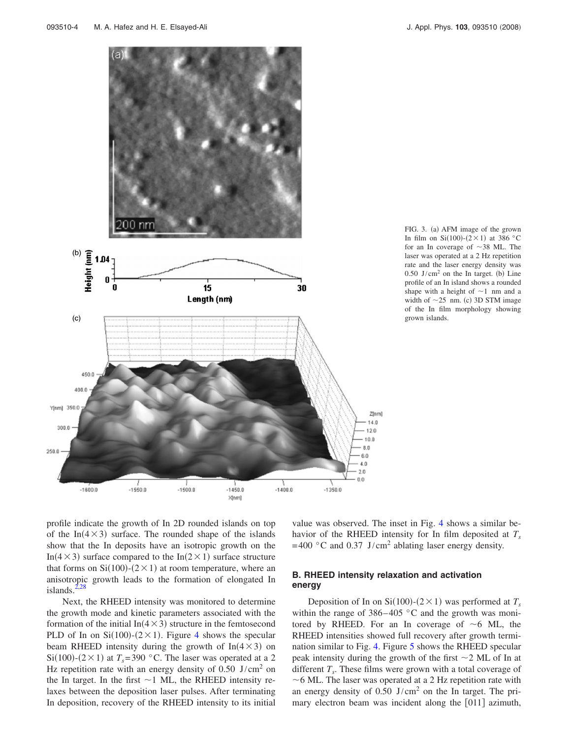<span id="page-4-0"></span>



profile indicate the growth of In 2D rounded islands on top of the In( $4 \times 3$ ) surface. The rounded shape of the islands show that the In deposits have an isotropic growth on the In( $4 \times 3$ ) surface compared to the In( $2 \times 1$ ) surface structure that forms on  $Si(100)$ - $(2 \times 1)$  at room temperature, where an anisotropic growth leads to the formation of elongated In islands. $2,28$  $2,28$ 

Next, the RHEED intensity was monitored to determine the growth mode and kinetic parameters associated with the formation of the initial  $In(4 \times 3)$  structure in the femtosecond PLD of In on  $Si(100)$ - $(2 \times 1)$ . Figure [4](#page-5-0) shows the specular beam RHEED intensity during the growth of  $In(4 \times 3)$  on Si(100)-( $2 \times 1$ ) at  $T_s$ = 390 °C. The laser was operated at a 2 Hz repetition rate with an energy density of  $0.50$  J/cm<sup>2</sup> on the In target. In the first  $\sim$  1 ML, the RHEED intensity relaxes between the deposition laser pulses. After terminating In deposition, recovery of the RHEED intensity to its initial value was observed. The inset in Fig. [4](#page-5-0) shows a similar behavior of the RHEED intensity for In film deposited at  $T_s$  $= 400$  °C and 0.37 J/cm<sup>2</sup> ablating laser energy density.

## **B. RHEED intensity relaxation and activation energy**

Deposition of In on  $Si(100)$ - $(2 \times 1)$  was performed at  $T_s$ within the range of  $386-405$  °C and the growth was monitored by RHEED. For an In coverage of  $\sim$  6 ML, the RHEED intensities showed full recovery after growth termination similar to Fig. [4.](#page-5-0) Figure [5](#page-5-1) shows the RHEED specular peak intensity during the growth of the first  $\sim$  2 ML of In at different  $T_s$ . These films were grown with a total coverage of  $\sim$  6 ML. The laser was operated at a 2 Hz repetition rate with an energy density of  $0.50$  J/cm<sup>2</sup> on the In target. The primary electron beam was incident along the [011] azimuth,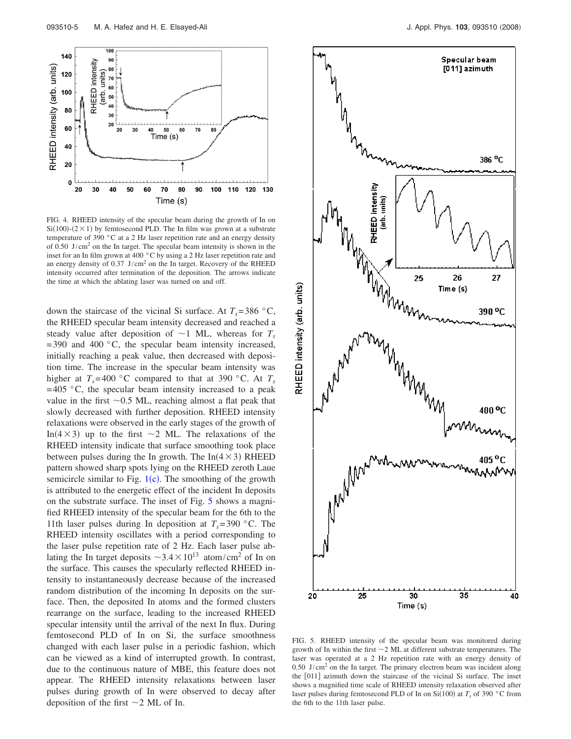<span id="page-5-0"></span>

FIG. 4. RHEED intensity of the specular beam during the growth of In on  $Si(100)$ - $(2 \times 1)$  by femtosecond PLD. The In film was grown at a substrate temperature of 390 °C at a 2 Hz laser repetition rate and an energy density of 0.50 J/cm2 on the In target. The specular beam intensity is shown in the inset for an In film grown at 400 °C by using a 2 Hz laser repetition rate and an energy density of  $0.37$  J/cm<sup>2</sup> on the In target. Recovery of the RHEED intensity occurred after termination of the deposition. The arrows indicate the time at which the ablating laser was turned on and off.

down the staircase of the vicinal Si surface. At  $T_s = 386 \degree C$ , the RHEED specular beam intensity decreased and reached a steady value after deposition of  $\sim$ 1 ML, whereas for  $T_s$  $= 390$  and  $400 \degree C$ , the specular beam intensity increased, initially reaching a peak value, then decreased with deposition time. The increase in the specular beam intensity was higher at  $T_s = 400 \degree \text{C}$  compared to that at 390 °C. At  $T_s$  $= 405$  °C, the specular beam intensity increased to a peak value in the first  $\sim 0.5$  ML, reaching almost a flat peak that slowly decreased with further deposition. RHEED intensity relaxations were observed in the early stages of the growth of In( $4 \times 3$ ) up to the first  $\sim 2$  ML. The relaxations of the RHEED intensity indicate that surface smoothing took place between pulses during the In growth. The  $In(4 \times 3)$  RHEED pattern showed sharp spots lying on the RHEED zeroth Laue semicircle similar to Fig.  $1(c)$  $1(c)$ . The smoothing of the growth is attributed to the energetic effect of the incident In deposits on the substrate surface. The inset of Fig. [5](#page-5-1) shows a magnified RHEED intensity of the specular beam for the 6th to the 11th laser pulses during In deposition at  $T_s = 390$  °C. The RHEED intensity oscillates with a period corresponding to the laser pulse repetition rate of 2 Hz. Each laser pulse ablating the In target deposits  $\sim 3.4 \times 10^{13}$  atom/cm<sup>2</sup> of In on the surface. This causes the specularly reflected RHEED intensity to instantaneously decrease because of the increased random distribution of the incoming In deposits on the surface. Then, the deposited In atoms and the formed clusters rearrange on the surface, leading to the increased RHEED specular intensity until the arrival of the next In flux. During femtosecond PLD of In on Si, the surface smoothness changed with each laser pulse in a periodic fashion, which can be viewed as a kind of interrupted growth. In contrast, due to the continuous nature of MBE, this feature does not appear. The RHEED intensity relaxations between laser pulses during growth of In were observed to decay after deposition of the first  $\sim$  2 ML of In.

<span id="page-5-1"></span>

FIG. 5. RHEED intensity of the specular beam was monitored during growth of In within the first  $\sim$  2 ML at different substrate temperatures. The laser was operated at a 2 Hz repetition rate with an energy density of  $0.50$  J/cm<sup>2</sup> on the In target. The primary electron beam was incident along the [011] azimuth down the staircase of the vicinal Si surface. The inset shows a magnified time scale of RHEED intensity relaxation observed after laser pulses during femtosecond PLD of In on  $Si(100)$  at  $T_s$  of 390 °C from the 6th to the 11th laser pulse.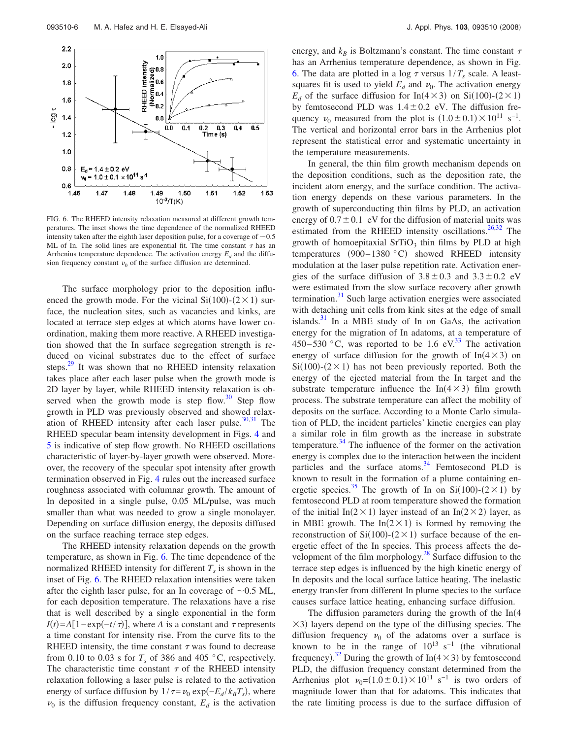<span id="page-6-0"></span>

FIG. 6. The RHEED intensity relaxation measured at different growth temperatures. The inset shows the time dependence of the normalized RHEED intensity taken after the eighth laser deposition pulse, for a coverage of  $\sim 0.5$ ML of In. The solid lines are exponential fit. The time constant  $\tau$  has an Arrhenius temperature dependence. The activation energy  $E_d$  and the diffusion frequency constant  $\nu_0$  of the surface diffusion are determined.

The surface morphology prior to the deposition influenced the growth mode. For the vicinal  $Si(100)$ - $(2 \times 1)$  surface, the nucleation sites, such as vacancies and kinks, are located at terrace step edges at which atoms have lower coordination, making them more reactive. A RHEED investigation showed that the In surface segregation strength is reduced on vicinal substrates due to the effect of surface steps.<sup>29</sup> It was shown that no RHEED intensity relaxation takes place after each laser pulse when the growth mode is 2D layer by layer, while RHEED intensity relaxation is observed when the growth mode is step flow.<sup>30</sup> Step flow growth in PLD was previously observed and showed relaxation of RHEED intensity after each laser pulse. $30,31$  $30,31$  The RHEED specular beam intensity development in Figs. [4](#page-5-0) and [5](#page-5-1) is indicative of step flow growth. No RHEED oscillations characteristic of layer-by-layer growth were observed. Moreover, the recovery of the specular spot intensity after growth termination observed in Fig. [4](#page-5-0) rules out the increased surface roughness associated with columnar growth. The amount of In deposited in a single pulse, 0.05 ML/pulse, was much smaller than what was needed to grow a single monolayer. Depending on surface diffusion energy, the deposits diffused on the surface reaching terrace step edges.

The RHEED intensity relaxation depends on the growth temperature, as shown in Fig. [6.](#page-6-0) The time dependence of the normalized RHEED intensity for different  $T<sub>s</sub>$  is shown in the inset of Fig. [6.](#page-6-0) The RHEED relaxation intensities were taken after the eighth laser pulse, for an In coverage of  $\sim 0.5$  ML, for each deposition temperature. The relaxations have a rise that is well described by a single exponential in the form  $I(t) = A[1 - \exp(-t/\tau)],$  where *A* is a constant and  $\tau$  represents a time constant for intensity rise. From the curve fits to the RHEED intensity, the time constant  $\tau$  was found to decrease from 0.10 to 0.03 s for  $T_s$  of 386 and 405 °C, respectively. The characteristic time constant  $\tau$  of the RHEED intensity relaxation following a laser pulse is related to the activation energy of surface diffusion by  $1/\tau = \nu_0 \exp(-E_d / k_B T_s)$ , where  $\nu_0$  is the diffusion frequency constant,  $E_d$  is the activation energy, and  $k_B$  is Boltzmann's constant. The time constant  $\tau$ has an Arrhenius temperature dependence, as shown in Fig. [6.](#page-6-0) The data are plotted in a log  $\tau$  versus  $1/T_s$  scale. A leastsquares fit is used to yield  $E_d$  and  $\nu_0$ . The activation energy  $E_d$  of the surface diffusion for In(4×3) on Si(100)-(2×1) by femtosecond PLD was  $1.4 \pm 0.2$  eV. The diffusion frequency  $v_0$  measured from the plot is  $(1.0 \pm 0.1) \times 10^{11}$  s<sup>-1</sup>. The vertical and horizontal error bars in the Arrhenius plot represent the statistical error and systematic uncertainty in the temperature measurements.

In general, the thin film growth mechanism depends on the deposition conditions, such as the deposition rate, the incident atom energy, and the surface condition. The activation energy depends on these various parameters. In the growth of superconducting thin films by PLD, an activation energy of  $0.7 \pm 0.1$  eV for the diffusion of material units was estimated from the RHEED intensity oscillations.<sup>26,[32](#page-10-2)</sup> The growth of homoepitaxial  $SrTiO<sub>3</sub>$  thin films by PLD at high temperatures  $(900-1380 °C)$  showed RHEED intensity modulation at the laser pulse repetition rate. Activation energies of the surface diffusion of  $3.8 \pm 0.3$  and  $3.3 \pm 0.2$  eV were estimated from the slow surface recovery after growth termination. $31$  Such large activation energies were associated with detaching unit cells from kink sites at the edge of small islands. $31$  In a MBE study of In on GaAs, the activation energy for the migration of In adatoms, at a temperature of 450–530 °C, was reported to be 1.6 eV.<sup>33</sup> The activation energy of surface diffusion for the growth of  $In(4\times3)$  on  $Si(100)$ - $(2 \times 1)$  has not been previously reported. Both the energy of the ejected material from the In target and the substrate temperature influence the  $In(4 \times 3)$  film growth process. The substrate temperature can affect the mobility of deposits on the surface. According to a Monte Carlo simulation of PLD, the incident particles' kinetic energies can play a similar role in film growth as the increase in substrate temperature. $34$  The influence of the former on the activation energy is complex due to the interaction between the incident particles and the surface atoms. $34$  Femtosecond PLD is known to result in the formation of a plume containing energetic species.<sup>35</sup> The growth of In on Si(100)-(2×1) by femtosecond PLD at room temperature showed the formation of the initial In( $2 \times 1$ ) layer instead of an In( $2 \times 2$ ) layer, as in MBE growth. The  $In(2 \times 1)$  is formed by removing the reconstruction of  $Si(100)$ - $(2 \times 1)$  surface because of the energetic effect of the In species. This process affects the development of the film morphology.<sup>28</sup> Surface diffusion to the terrace step edges is influenced by the high kinetic energy of In deposits and the local surface lattice heating. The inelastic energy transfer from different In plume species to the surface causes surface lattice heating, enhancing surface diffusion.

The diffusion parameters during the growth of the  $In(4)$  $\times$ 3) layers depend on the type of the diffusing species. The diffusion frequency  $\nu_0$  of the adatoms over a surface is known to be in the range of  $10^{13}$  s<sup>-1</sup> (the vibrational frequency).<sup>[32](#page-10-2)</sup> During the growth of In( $4 \times 3$ ) by femtosecond PLD, the diffusion frequency constant determined from the Arrhenius plot  $v_0 = (1.0 \pm 0.1) \times 10^{11} \text{ s}^{-1}$  is two orders of magnitude lower than that for adatoms. This indicates that the rate limiting process is due to the surface diffusion of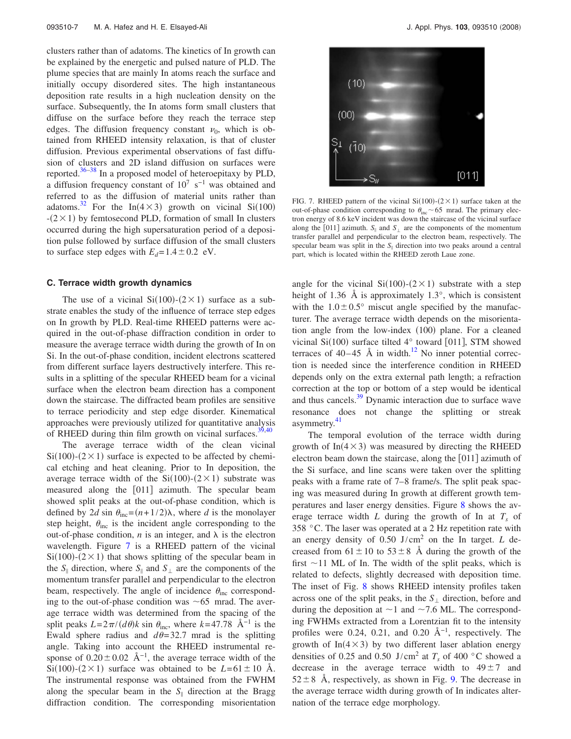clusters rather than of adatoms. The kinetics of In growth can be explained by the energetic and pulsed nature of PLD. The plume species that are mainly In atoms reach the surface and initially occupy disordered sites. The high instantaneous deposition rate results in a high nucleation density on the surface. Subsequently, the In atoms form small clusters that diffuse on the surface before they reach the terrace step edges. The diffusion frequency constant  $\nu_0$ , which is obtained from RHEED intensity relaxation, is that of cluster diffusion. Previous experimental observations of fast diffusion of clusters and 2D island diffusion on surfaces were reported[.36–](#page-10-6)[38](#page-10-7) In a proposed model of heteroepitaxy by PLD, a diffusion frequency constant of  $10^7$  s<sup>-1</sup> was obtained and referred to as the diffusion of material units rather than adatoms.<sup>32</sup> For the In( $4 \times 3$ ) growth on vicinal Si(100)  $-(2 \times 1)$  by femtosecond PLD, formation of small In clusters occurred during the high supersaturation period of a deposition pulse followed by surface diffusion of the small clusters to surface step edges with  $E_d = 1.4 \pm 0.2$  eV.

#### **C. Terrace width growth dynamics**

The use of a vicinal  $Si(100)$ - $(2 \times 1)$  surface as a substrate enables the study of the influence of terrace step edges on In growth by PLD. Real-time RHEED patterns were acquired in the out-of-phase diffraction condition in order to measure the average terrace width during the growth of In on Si. In the out-of-phase condition, incident electrons scattered from different surface layers destructively interfere. This results in a splitting of the specular RHEED beam for a vicinal surface when the electron beam direction has a component down the staircase. The diffracted beam profiles are sensitive to terrace periodicity and step edge disorder. Kinematical approaches were previously utilized for quantitative analysis of RHEED during thin film growth on vicinal surfaces. $39,40$  $39,40$ 

The average terrace width of the clean vicinal  $Si(100)$ - $(2 \times 1)$  surface is expected to be affected by chemical etching and heat cleaning. Prior to In deposition, the average terrace width of the  $Si(100)-(2\times1)$  substrate was measured along the [011] azimuth. The specular beam showed split peaks at the out-of-phase condition, which is defined by 2*d* sin  $\theta_{\text{inc}} = (n + 1/2)\lambda$ , where *d* is the monolayer step height,  $\theta_{\text{inc}}$  is the incident angle corresponding to the out-of-phase condition,  $n$  is an integer, and  $\lambda$  is the electron wavelength. Figure [7](#page-7-0) is a RHEED pattern of the vicinal  $Si(100)$ - $(2 \times 1)$  that shows splitting of the specular beam in the  $S_{\parallel}$  direction, where  $S_{\parallel}$  and  $S_{\perp}$  are the components of the momentum transfer parallel and perpendicular to the electron beam, respectively. The angle of incidence  $\theta_{\text{inc}}$  corresponding to the out-of-phase condition was  $\sim 65$  mrad. The average terrace width was determined from the spacing of the split peaks  $L = 2\pi/(d\theta)k$  sin  $\theta_{inc}$ , where  $k = 47.78$  Å<sup>-1</sup> is the Ewald sphere radius and  $d\theta$ = 32.7 mrad is the splitting angle. Taking into account the RHEED instrumental response of  $0.20 \pm 0.02$  Å<sup>-1</sup>, the average terrace width of the Si(100)-(2 × 1) surface was obtained to be  $L = 61 \pm 10$  Å. The instrumental response was obtained from the FWHM along the specular beam in the  $S_{\parallel}$  direction at the Bragg diffraction condition. The corresponding misorientation

<span id="page-7-0"></span>

FIG. 7. RHEED pattern of the vicinal  $Si(100)-(2\times1)$  surface taken at the out-of-phase condition corresponding to  $\theta_{\text{inc}}$  ~65 mrad. The primary electron energy of 8.6 keV incident was down the staircase of the vicinal surface along the [011] azimuth.  $S_{\parallel}$  and  $S_{\perp}$  are the components of the momentum transfer parallel and perpendicular to the electron beam, respectively. The specular beam was split in the  $S_{\parallel}$  direction into two peaks around a central part, which is located within the RHEED zeroth Laue zone.

angle for the vicinal  $Si(100)$ - $(2 \times 1)$  substrate with a step height of 1.36 Å is approximately 1.3°, which is consistent with the  $1.0 \pm 0.5^{\circ}$  miscut angle specified by the manufacturer. The average terrace width depends on the misorientation angle from the low-index (100) plane. For a cleaned vicinal Si(100) surface tilted  $4^{\circ}$  toward [011], STM showed terraces of  $40-45$  Å in width.<sup>12</sup> No inner potential correction is needed since the interference condition in RHEED depends only on the extra external path length; a refraction correction at the top or bottom of a step would be identical and thus cancels.<sup>39</sup> Dynamic interaction due to surface wave resonance does not change the splitting or streak asymmetry.<sup>41</sup>

The temporal evolution of the terrace width during growth of  $In(4 \times 3)$  was measured by directing the RHEED electron beam down the staircase, along the  $[011]$  azimuth of the Si surface, and line scans were taken over the splitting peaks with a frame rate of 7–8 frame/s. The split peak spacing was measured during In growth at different growth temperatures and laser energy densities. Figure [8](#page-8-0) shows the average terrace width *L* during the growth of In at  $T_s$  of 358 °C. The laser was operated at a 2 Hz repetition rate with an energy density of 0.50 J/cm<sup>2</sup> on the In target. *L* decreased from  $61 \pm 10$  to  $53 \pm 8$  Å during the growth of the first  $\sim$  11 ML of In. The width of the split peaks, which is related to defects, slightly decreased with deposition time. The inset of Fig. [8](#page-8-0) shows RHEED intensity profiles taken across one of the split peaks, in the  $S_{\perp}$  direction, before and during the deposition at  $\sim$  1 and  $\sim$  7.6 ML. The corresponding FWHMs extracted from a Lorentzian fit to the intensity profiles were 0.24, 0.21, and 0.20 Å<sup>-1</sup>, respectively. The growth of  $In(4\times3)$  by two different laser ablation energy densities of 0.25 and 0.50 J/cm<sup>2</sup> at  $T_s$  of 400 °C showed a decrease in the average terrace width to  $49 \pm 7$  and  $52 \pm 8$  Å, respectively, as shown in Fig. [9.](#page-8-1) The decrease in the average terrace width during growth of In indicates alternation of the terrace edge morphology.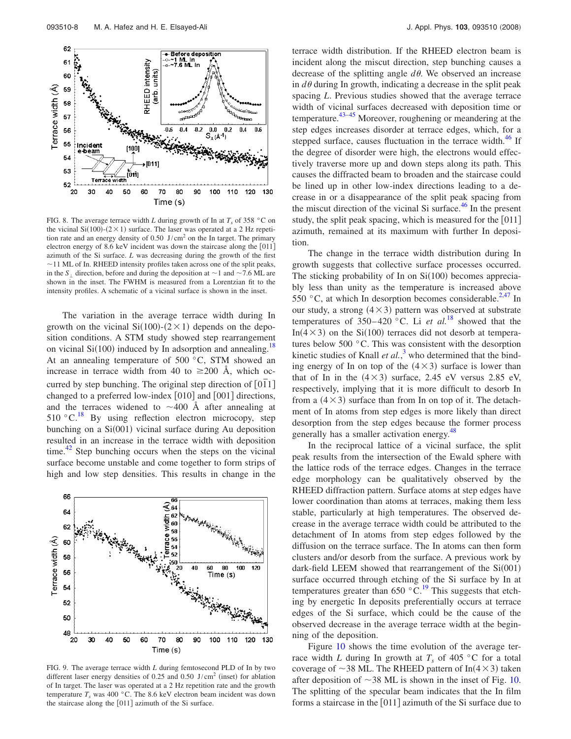<span id="page-8-0"></span>

FIG. 8. The average terrace width *L* during growth of In at  $T_s$  of 358 °C on the vicinal  $Si(100)$ - $(2 \times 1)$  surface. The laser was operated at a 2 Hz repetition rate and an energy density of  $0.50 \text{ J/cm}^2$  on the In target. The primary electron energy of 8.6 keV incident was down the staircase along the  $[011]$ azimuth of the Si surface. *L* was decreasing during the growth of the first  $\sim$ 11 ML of In. RHEED intensity profiles taken across one of the split peaks, in the  $S_1$  direction, before and during the deposition at  $\sim$  1 and  $\sim$  7.6 ML are shown in the inset. The FWHM is measured from a Lorentzian fit to the intensity profiles. A schematic of a vicinal surface is shown in the inset.

The variation in the average terrace width during In growth on the vicinal  $Si(100)$ - $(2 \times 1)$  depends on the deposition conditions. A STM study showed step rearrangement on vicinal  $Si(100)$  induced by In adsorption and annealing.<sup>18</sup> At an annealing temperature of 500 °C, STM showed an increase in terrace width from 40 to  $\geq 200$  Å, which occurred by step bunching. The original step direction of [011] changed to a preferred low-index  $[010]$  and  $[001]$  directions, and the terraces widened to  $\sim$ 400 Å after annealing at  $510\text{ °C}$ .<sup>[18](#page-9-11)</sup> By using reflection electron microcopy, step bunching on a Si(001) vicinal surface during Au deposition resulted in an increase in the terrace width with deposition time.<sup>42</sup> Step bunching occurs when the steps on the vicinal surface become unstable and come together to form strips of high and low step densities. This results in change in the

<span id="page-8-1"></span>

FIG. 9. The average terrace width *L* during femtosecond PLD of In by two different laser energy densities of 0.25 and 0.50 J/cm<sup>2</sup> (inset) for ablation of In target. The laser was operated at a 2 Hz repetition rate and the growth temperature  $T_s$  was 400 °C. The 8.6 keV electron beam incident was down the staircase along the  $[011]$  azimuth of the Si surface.

terrace width distribution. If the RHEED electron beam is incident along the miscut direction, step bunching causes a decrease of the splitting angle  $d\theta$ . We observed an increase in  $d\theta$  during In growth, indicating a decrease in the split peak spacing *L*. Previous studies showed that the average terrace width of vicinal surfaces decreased with deposition time or temperature. $43-45$  $43-45$  Moreover, roughening or meandering at the step edges increases disorder at terrace edges, which, for a stepped surface, causes fluctuation in the terrace width. $46$  If the degree of disorder were high, the electrons would effectively traverse more up and down steps along its path. This causes the diffracted beam to broaden and the staircase could be lined up in other low-index directions leading to a decrease in or a disappearance of the split peak spacing from the miscut direction of the vicinal Si surface.<sup>46</sup> In the present study, the split peak spacing, which is measured for the [011] azimuth, remained at its maximum with further In deposition.

The change in the terrace width distribution during In growth suggests that collective surface processes occurred. The sticking probability of In on  $Si(100)$  becomes appreciably less than unity as the temperature is increased above 550 °C, at which In desorption becomes considerable.<sup>2[,47](#page-10-15)</sup> In our study, a strong  $(4 \times 3)$  pattern was observed at substrate temperatures of  $350-420$  °C. Li *et al.*<sup>[18](#page-9-11)</sup> showed that the In( $4 \times 3$ ) on the Si(100) terraces did not desorb at temperatures below 500 °C. This was consistent with the desorption kinetic studies of Knall  $et al.<sup>3</sup>$  $et al.<sup>3</sup>$  $et al.<sup>3</sup>$  who determined that the binding energy of In on top of the  $(4 \times 3)$  surface is lower than that of In in the  $(4 \times 3)$  surface, 2.45 eV versus 2.85 eV, respectively, implying that it is more difficult to desorb In from a  $(4 \times 3)$  surface than from In on top of it. The detachment of In atoms from step edges is more likely than direct desorption from the step edges because the former process generally has a smaller activation energy.<sup>48</sup>

In the reciprocal lattice of a vicinal surface, the split peak results from the intersection of the Ewald sphere with the lattice rods of the terrace edges. Changes in the terrace edge morphology can be qualitatively observed by the RHEED diffraction pattern. Surface atoms at step edges have lower coordination than atoms at terraces, making them less stable, particularly at high temperatures. The observed decrease in the average terrace width could be attributed to the detachment of In atoms from step edges followed by the diffusion on the terrace surface. The In atoms can then form clusters and/or desorb from the surface. A previous work by dark-field LEEM showed that rearrangement of the  $Si(001)$ surface occurred through etching of the Si surface by In at temperatures greater than 650  $\mathrm{^{\circ}C}$ .<sup>19</sup> This suggests that etching by energetic In deposits preferentially occurs at terrace edges of the Si surface, which could be the cause of the observed decrease in the average terrace width at the beginning of the deposition.

Figure [10](#page-9-24) shows the time evolution of the average terrace width *L* during In growth at  $T_s$  of 405 °C for a total coverage of  $\sim$ 38 ML. The RHEED pattern of In(4  $\times$  3) taken after deposition of  $\sim$ 38 ML is shown in the inset of Fig. [10.](#page-9-24) The splitting of the specular beam indicates that the In film forms a staircase in the  $[011]$  azimuth of the Si surface due to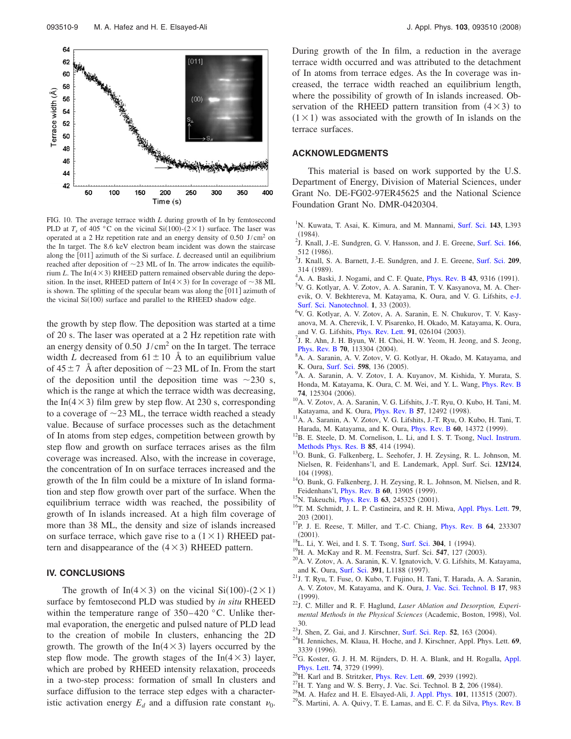<span id="page-9-24"></span>

FIG. 10. The average terrace width *L* during growth of In by femtosecond PLD at  $T_s$  of 405 °C on the vicinal Si(100)-(2×1) surface. The laser was operated at a 2 Hz repetition rate and an energy density of  $0.50 \text{ J/cm}^2$  on the In target. The 8.6 keV electron beam incident was down the staircase along the [011] azimuth of the Si surface. *L* decreased until an equilibrium reached after deposition of  $\sim$ 23 ML of In. The arrow indicates the equilibrium *L*. The  $In(4 \times 3)$  RHEED pattern remained observable during the deposition. In the inset, RHEED pattern of  $In(4 \times 3)$  for In coverage of  $\sim 38$  ML is shown. The splitting of the specular beam was along the [011] azimuth of the vicinal Si(100) surface and parallel to the RHEED shadow edge.

the growth by step flow. The deposition was started at a time of 20 s. The laser was operated at a 2 Hz repetition rate with an energy density of  $0.50 \text{ J/cm}^2$  on the In target. The terrace width *L* decreased from  $61 \pm 10$  Å to an equilibrium value of  $45 \pm 7$  Å after deposition of  $\sim$  23 ML of In. From the start of the deposition until the deposition time was  $\sim$  230 s, which is the range at which the terrace width was decreasing, the In( $4 \times 3$ ) film grew by step flow. At 230 s, corresponding to a coverage of  $\sim$ 23 ML, the terrace width reached a steady value. Because of surface processes such as the detachment of In atoms from step edges, competition between growth by step flow and growth on surface terraces arises as the film coverage was increased. Also, with the increase in coverage, the concentration of In on surface terraces increased and the growth of the In film could be a mixture of In island formation and step flow growth over part of the surface. When the equilibrium terrace width was reached, the possibility of growth of In islands increased. At a high film coverage of more than 38 ML, the density and size of islands increased on surface terrace, which gave rise to a  $(1 \times 1)$  RHEED pattern and disappearance of the  $(4 \times 3)$  RHEED pattern.

#### **IV. CONCLUSIONS**

The growth of In( $4 \times 3$ ) on the vicinal Si(100)-( $2 \times 1$ ) surface by femtosecond PLD was studied by *in situ* RHEED within the temperature range of  $350-420$  °C. Unlike thermal evaporation, the energetic and pulsed nature of PLD lead to the creation of mobile In clusters, enhancing the 2D growth. The growth of the  $In(4 \times 3)$  layers occurred by the step flow mode. The growth stages of the  $In(4 \times 3)$  layer, which are probed by RHEED intensity relaxation, proceeds in a two-step process: formation of small In clusters and surface diffusion to the terrace step edges with a characteristic activation energy  $E_d$  and a diffusion rate constant  $\nu_0$ .

During growth of the In film, a reduction in the average terrace width occurred and was attributed to the detachment of In atoms from terrace edges. As the In coverage was increased, the terrace width reached an equilibrium length, where the possibility of growth of In islands increased. Observation of the RHEED pattern transition from  $(4 \times 3)$  to  $(1 \times 1)$  was associated with the growth of In islands on the terrace surfaces.

#### **ACKNOWLEDGMENTS**

This material is based on work supported by the U.S. Department of Energy, Division of Material Sciences, under Grant No. DE-FG02-97ER45625 and the National Science Foundation Grant No. DMR-0420304.

- <span id="page-9-0"></span>1 N. Kuwata, T. Asai, K. Kimura, and M. Mannami, [Surf. Sci.](http://dx.doi.org/10.1016/0167-2584(84)90630-3) **143**, L393  $(1984)$ . <sup>2</sup> J. Knall, J.-E. Sundgren, G. V. Hansson, and J. E. Greene, [Surf. Sci.](http://dx.doi.org/10.1016/0039-6028(86)90694-1) **166**,
- <span id="page-9-9"></span> $\frac{512}{^{3}}$  (1986).
- <span id="page-9-10"></span><sup>3</sup>J. Knall, S. A. Barnett, J.-E. Sundgren, and J. E. Greene, [Surf. Sci.](http://dx.doi.org/10.1016/0039-6028(89)90078-2) 209,  $314$  (1989).
- <span id="page-9-1"></span><sup>4</sup>A. A. Baski, J. Nogami, and C. F. Quate, *[Phys. Rev. B](http://dx.doi.org/10.1103/PhysRevB.43.9316)* 43, 9316 (1991).
- <sup>5</sup>V. G. Kotlyar, A. V. Zotov, A. A. Saranin, T. V. Kasyanova, M. A. Cherevik, O. V. Bekhtereva, M. Katayama, K. Oura, and V. G. Lifshits, [e-J.](http://dx.doi.org/10.1380/ejssnt.2003.33) **[Surf. Sci. Nanotechnol.](http://dx.doi.org/10.1380/ejssnt.2003.33) 1, 33 (2003).**<br><sup>6</sup>M. G. Kether, A. M. Zotov. A. A. Sc
- <span id="page-9-2"></span>V. G. Kotlyar, A. V. Zotov, A. A. Saranin, E. N. Chukurov, T. V. Kasyanova, M. A. Cherevik, I. V. Pisarenko, H. Okado, M. Katayama, K. Oura, and V. G. Lifshits, [Phys. Rev. Lett.](http://dx.doi.org/10.1103/PhysRevLett.91.026104) **91**, 026104 (2003).
- $1$ , R. Ahn, J. H. Byun, W. H. Choi, H. W. Yeom, H. Jeong, and S. Jeong, **[Phys. Rev. B](http://dx.doi.org/10.1103/PhysRevB.70.113304) 70,** 113304 (2004).
- A. A. Saranin, A. V. Zotov, V. G. Kotlyar, H. Okado, M. Katayama, and K. Oura, [Surf. Sci.](http://dx.doi.org/10.1016/j.susc.2005.08.034) 598, 136 (2005).
- <span id="page-9-3"></span><sup>9</sup>A. A. Saranin, A. V. Zotov, I. A. Kuyanov, M. Kishida, Y. Murata, S. Honda, M. Katayama, K. Oura, C. M. Wei, and Y. L. Wang, [Phys. Rev. B](http://dx.doi.org/10.1103/PhysRevB.74.125304) 74, 125304 (2006).
- <span id="page-9-4"></span>10<br>A. V. Zotov, A. A. Saranin, V. G. Lifshits, J.-T. Ryu, O. Kubo, H. Tani, M. Katayama, and K. Oura, *[Phys. Rev. B](http://dx.doi.org/10.1103/PhysRevB.57.12492)* 57, 12492 (1998).
- . 11A. A. Saranin, A. V. Zotov, V. G. Lifshits, J.-T. Ryu, O. Kubo, H. Tani, T. Harada, M. Katayama, and K. Oura, *[Phys. Rev. B](http://dx.doi.org/10.1103/PhysRevB.60.14372)* 60, 14372 (1999).
- <span id="page-9-23"></span><sup>12</sup>B. E. Steele, D. M. Cornelison, L. Li, and I. S. T. Tsong, [Nucl. Instrum.](http://dx.doi.org/10.1016/0168-583X(94)95855-6) [Methods Phys. Res. B](http://dx.doi.org/10.1016/0168-583X(94)95855-6) 85, 414 (1994).
- <span id="page-9-8"></span>. 13O. Bunk, G. Falkenberg, L. Seehofer, J. H. Zeysing, R. L. Johnson, M. Nielsen, R. Feidenhans'l, and E. Landemark, Appl. Surf. Sci. **123/124**, 104 (1998).
- <span id="page-9-5"></span><sup>14</sup>O. Bunk, G. Falkenberg, J. H. Zeysing, R. L. Johnson, M. Nielsen, and R. Feidenhans'l, *[Phys. Rev. B](http://dx.doi.org/10.1103/PhysRevB.60.13905)* 60, 13905 (1999).
- <span id="page-9-6"></span><sup>15</sup>N. Takeuchi, *[Phys. Rev. B](http://dx.doi.org/10.1103/PhysRevB.63.245325)* 63, 245325 (2001).
- <sup>16</sup>T. M. Schmidt, J. L. P. Castineira, and R. H. Miwa, [Appl. Phys. Lett.](http://dx.doi.org/10.1063/1.1383275) **79**, 203 (2001).
- <span id="page-9-7"></span><sup>17</sup>P. J. E. Reese, T. Miller, and T.-C. Chiang, *[Phys. Rev. B](http://dx.doi.org/10.1103/PhysRevB.64.233307)* **64**, 233307  $(2001)$ .
- <span id="page-9-11"></span><sup>18</sup>L. Li, Y. Wei, and I. S. T. Tsong, [Surf. Sci.](http://dx.doi.org/10.1016/0039-6028(94)90747-1) **304**, 1 (1994).
- <span id="page-9-12"></span><sup>19</sup>H. A. McKay and R. M. Feenstra, Surf. Sci. 547, 127 (2003).
- <span id="page-9-13"></span> $^{20}$ A. V. Zotov, A. A. Saranin, K. V. Ignatovich, V. G. Lifshits, M. Katayama, and K. Oura, [Surf. Sci.](http://dx.doi.org/10.1016/S0039-6028(97)00645-6) 391, L1188 (1997).
- <span id="page-9-14"></span> $^{21}$ J. T. Ryu, T. Fuse, O. Kubo, T. Fujino, H. Tani, T. Harada, A. A. Saranin, A. V. Zotov, M. Katayama, and K. Oura, [J. Vac. Sci. Technol. B](http://dx.doi.org/10.1116/1.590680) **17**, 983  $(1999)$ .
- <span id="page-9-15"></span>. 22J. C. Miller and R. F. Haglund, *Laser Ablation and Desorption, Experi*mental Methods in the Physical Sciences (Academic, Boston, 1998), Vol. 30.
- <span id="page-9-16"></span><sup>23</sup>J. Shen, Z. Gai, and J. Kirschner, [Surf. Sci. Rep.](http://dx.doi.org/10.1016/j.surfrep.2003.10.001) 52, 163 (2004).
- <span id="page-9-17"></span>. 24H. Jenniches, M. Klaua, H. Hoche, and J. Kirschner, Appl. Phys. Lett. **<sup>69</sup>**, 3339 (1996).
- <span id="page-9-18"></span><sup>25</sup>G. Koster, G. J. H. M. Rijnders, D. H. A. Blank, and H. Rogalla, [Appl.](http://dx.doi.org/10.1063/1.123235) [Phys. Lett.](http://dx.doi.org/10.1063/1.123235) **74**, 3729 (1999).
- <span id="page-9-19"></span><sup>26</sup>H. Karl and B. Stritzker, *[Phys. Rev. Lett.](http://dx.doi.org/10.1103/PhysRevLett.69.2939)* **69**, 2939 (1992).
- <span id="page-9-20"></span><sup>27</sup>H. T. Yang and W. S. Berry, J. Vac. Sci. Technol. B **2**, 206 (1984).
- <span id="page-9-21"></span><sup>28</sup>M. A. Hafez and H. E. Elsayed-Ali, [J. Appl. Phys.](http://dx.doi.org/10.1063/1.2738388) **101**, 113515 (2007).
- <span id="page-9-22"></span> $^{29}$ S. Martini, A. A. Quivy, T. E. Lamas, and E. C. F. da Silva, *[Phys. Rev. B](http://dx.doi.org/10.1103/PhysRevB.72.153304)*